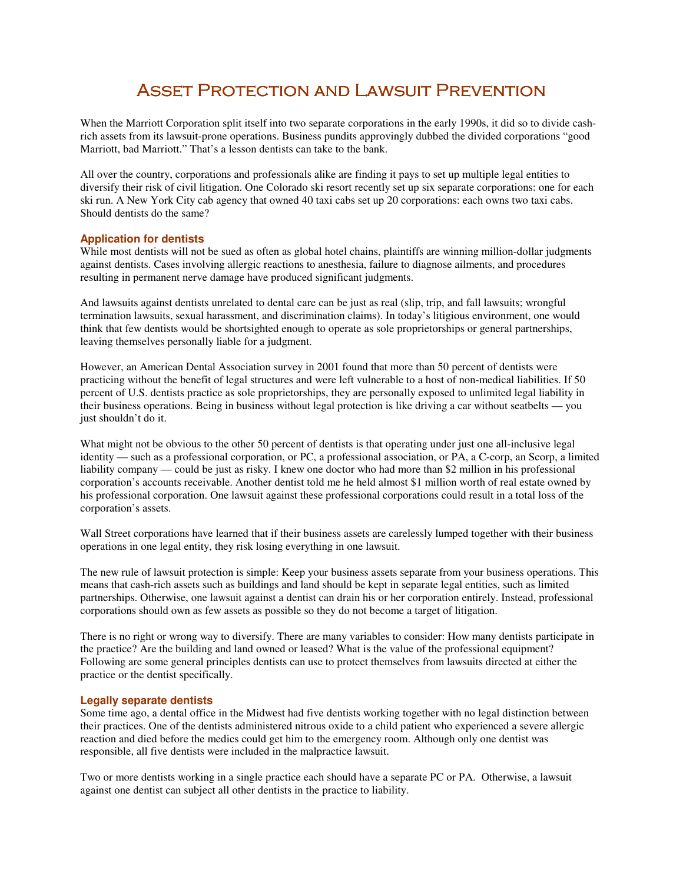# ASSET PROTECTION AND LAWSUIT PREVENTION

When the Marriott Corporation split itself into two separate corporations in the early 1990s, it did so to divide cashrich assets from its lawsuit-prone operations. Business pundits approvingly dubbed the divided corporations "good Marriott, bad Marriott." That's a lesson dentists can take to the bank.

All over the country, corporations and professionals alike are finding it pays to set up multiple legal entities to diversify their risk of civil litigation. One Colorado ski resort recently set up six separate corporations: one for each ski run. A New York City cab agency that owned 40 taxi cabs set up 20 corporations: each owns two taxi cabs. Should dentists do the same?

## **Application for dentists**

While most dentists will not be sued as often as global hotel chains, plaintiffs are winning million-dollar judgments against dentists. Cases involving allergic reactions to anesthesia, failure to diagnose ailments, and procedures resulting in permanent nerve damage have produced significant judgments.

And lawsuits against dentists unrelated to dental care can be just as real (slip, trip, and fall lawsuits; wrongful termination lawsuits, sexual harassment, and discrimination claims). In today's litigious environment, one would think that few dentists would be shortsighted enough to operate as sole proprietorships or general partnerships, leaving themselves personally liable for a judgment.

However, an American Dental Association survey in 2001 found that more than 50 percent of dentists were practicing without the benefit of legal structures and were left vulnerable to a host of non-medical liabilities. If 50 percent of U.S. dentists practice as sole proprietorships, they are personally exposed to unlimited legal liability in their business operations. Being in business without legal protection is like driving a car without seatbelts — you just shouldn't do it.

What might not be obvious to the other 50 percent of dentists is that operating under just one all-inclusive legal identity — such as a professional corporation, or PC, a professional association, or PA, a C-corp, an Scorp, a limited liability company — could be just as risky. I knew one doctor who had more than \$2 million in his professional corporation's accounts receivable. Another dentist told me he held almost \$1 million worth of real estate owned by his professional corporation. One lawsuit against these professional corporations could result in a total loss of the corporation's assets.

Wall Street corporations have learned that if their business assets are carelessly lumped together with their business operations in one legal entity, they risk losing everything in one lawsuit.

The new rule of lawsuit protection is simple: Keep your business assets separate from your business operations. This means that cash-rich assets such as buildings and land should be kept in separate legal entities, such as limited partnerships. Otherwise, one lawsuit against a dentist can drain his or her corporation entirely. Instead, professional corporations should own as few assets as possible so they do not become a target of litigation.

There is no right or wrong way to diversify. There are many variables to consider: How many dentists participate in the practice? Are the building and land owned or leased? What is the value of the professional equipment? Following are some general principles dentists can use to protect themselves from lawsuits directed at either the practice or the dentist specifically.

## **Legally separate dentists**

Some time ago, a dental office in the Midwest had five dentists working together with no legal distinction between their practices. One of the dentists administered nitrous oxide to a child patient who experienced a severe allergic reaction and died before the medics could get him to the emergency room. Although only one dentist was responsible, all five dentists were included in the malpractice lawsuit.

Two or more dentists working in a single practice each should have a separate PC or PA. Otherwise, a lawsuit against one dentist can subject all other dentists in the practice to liability.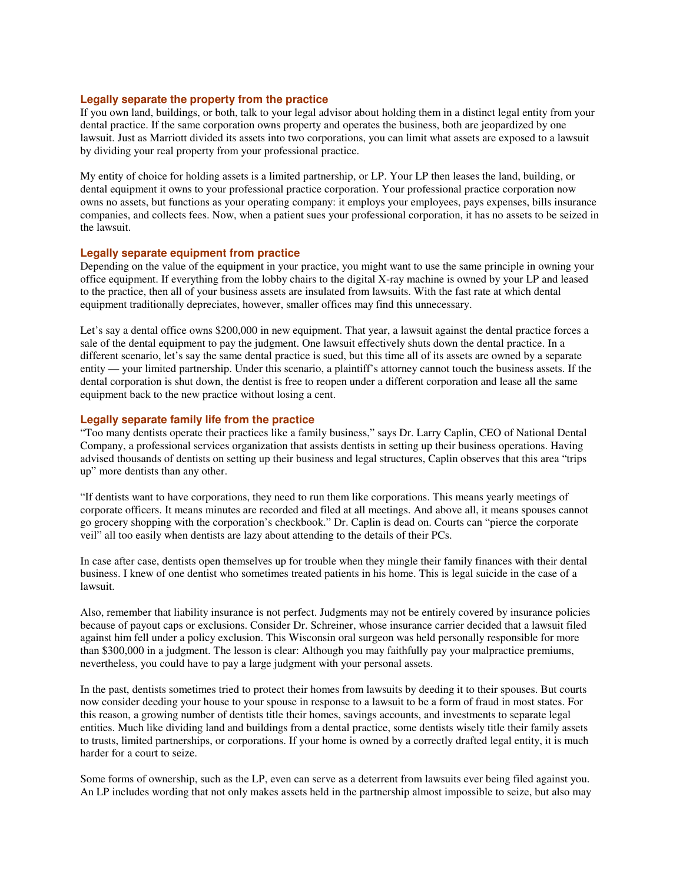#### **Legally separate the property from the practice**

If you own land, buildings, or both, talk to your legal advisor about holding them in a distinct legal entity from your dental practice. If the same corporation owns property and operates the business, both are jeopardized by one lawsuit. Just as Marriott divided its assets into two corporations, you can limit what assets are exposed to a lawsuit by dividing your real property from your professional practice.

My entity of choice for holding assets is a limited partnership, or LP. Your LP then leases the land, building, or dental equipment it owns to your professional practice corporation. Your professional practice corporation now owns no assets, but functions as your operating company: it employs your employees, pays expenses, bills insurance companies, and collects fees. Now, when a patient sues your professional corporation, it has no assets to be seized in the lawsuit.

#### **Legally separate equipment from practice**

Depending on the value of the equipment in your practice, you might want to use the same principle in owning your office equipment. If everything from the lobby chairs to the digital X-ray machine is owned by your LP and leased to the practice, then all of your business assets are insulated from lawsuits. With the fast rate at which dental equipment traditionally depreciates, however, smaller offices may find this unnecessary.

Let's say a dental office owns \$200,000 in new equipment. That year, a lawsuit against the dental practice forces a sale of the dental equipment to pay the judgment. One lawsuit effectively shuts down the dental practice. In a different scenario, let's say the same dental practice is sued, but this time all of its assets are owned by a separate entity — your limited partnership. Under this scenario, a plaintiff's attorney cannot touch the business assets. If the dental corporation is shut down, the dentist is free to reopen under a different corporation and lease all the same equipment back to the new practice without losing a cent.

## **Legally separate family life from the practice**

"Too many dentists operate their practices like a family business," says Dr. Larry Caplin, CEO of National Dental Company, a professional services organization that assists dentists in setting up their business operations. Having advised thousands of dentists on setting up their business and legal structures, Caplin observes that this area "trips up" more dentists than any other.

"If dentists want to have corporations, they need to run them like corporations. This means yearly meetings of corporate officers. It means minutes are recorded and filed at all meetings. And above all, it means spouses cannot go grocery shopping with the corporation's checkbook." Dr. Caplin is dead on. Courts can "pierce the corporate veil" all too easily when dentists are lazy about attending to the details of their PCs.

In case after case, dentists open themselves up for trouble when they mingle their family finances with their dental business. I knew of one dentist who sometimes treated patients in his home. This is legal suicide in the case of a lawsuit.

Also, remember that liability insurance is not perfect. Judgments may not be entirely covered by insurance policies because of payout caps or exclusions. Consider Dr. Schreiner, whose insurance carrier decided that a lawsuit filed against him fell under a policy exclusion. This Wisconsin oral surgeon was held personally responsible for more than \$300,000 in a judgment. The lesson is clear: Although you may faithfully pay your malpractice premiums, nevertheless, you could have to pay a large judgment with your personal assets.

In the past, dentists sometimes tried to protect their homes from lawsuits by deeding it to their spouses. But courts now consider deeding your house to your spouse in response to a lawsuit to be a form of fraud in most states. For this reason, a growing number of dentists title their homes, savings accounts, and investments to separate legal entities. Much like dividing land and buildings from a dental practice, some dentists wisely title their family assets to trusts, limited partnerships, or corporations. If your home is owned by a correctly drafted legal entity, it is much harder for a court to seize.

Some forms of ownership, such as the LP, even can serve as a deterrent from lawsuits ever being filed against you. An LP includes wording that not only makes assets held in the partnership almost impossible to seize, but also may